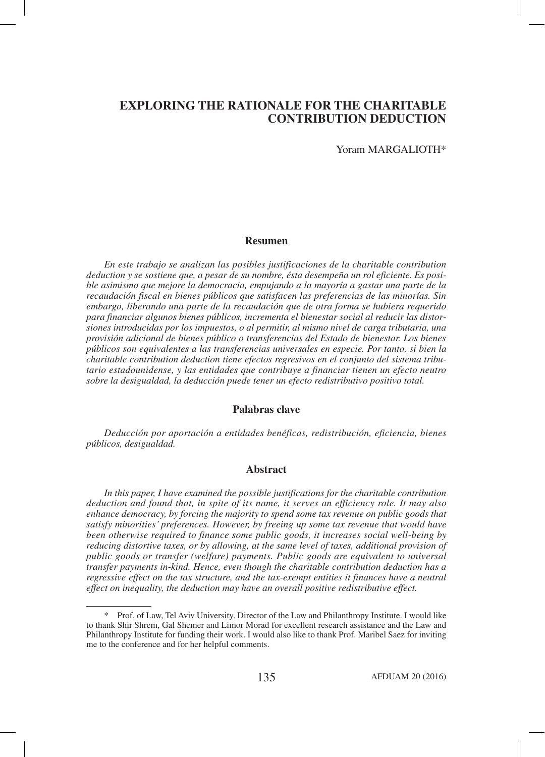Yoram MARGALIOTH\*

#### **Resumen**

*En este trabajo se analizan las posibles justificaciones de la charitable contribution deduction y se sostiene que, a pesar de su nombre, ésta desempeña un rol eficiente. Es posible asimismo que mejore la democracia, empujando a la mayoría a gastar una parte de la recaudación fiscal en bienes públicos que satisfacen las preferencias de las minorías. Sin embargo, liberando una parte de la recaudación que de otra forma se hubiera requerido para financiar algunos bienes públicos, incrementa el bienestar social al reducir las distorsiones introducidas por los impuestos, o al permitir, al mismo nivel de carga tributaria, una provisión adicional de bienes público o transferencias del Estado de bienestar. Los bienes públicos son equivalentes a las transferencias universales en especie. Por tanto, si bien la charitable contribution deduction tiene efectos regresivos en el conjunto del sistema tributario estadounidense, y las entidades que contribuye a financiar tienen un efecto neutro sobre la desigualdad, la deducción puede tener un efecto redistributivo positivo total.*

## **Palabras clave**

*Deducción por aportación a entidades benéficas, redistribución, eficiencia, bienes públicos, desigualdad.*

### **Abstract**

*In this paper, I have examined the possible justifications for the charitable contribution deduction and found that, in spite of its name, it serves an efficiency role. It may also enhance democracy, by forcing the majority to spend some tax revenue on public goods that satisfy minorities' preferences. However, by freeing up some tax revenue that would have been otherwise required to finance some public goods, it increases social well-being by reducing distortive taxes, or by allowing, at the same level of taxes, additional provision of public goods or transfer (welfare) payments. Public goods are equivalent to universal transfer payments in-kind. Hence, even though the charitable contribution deduction has a regressive effect on the tax structure, and the tax-exempt entities it finances have a neutral effect on inequality, the deduction may have an overall positive redistributive effect.*

<sup>\*</sup> Prof. of Law, Tel Aviv University. Director of the Law and Philanthropy Institute. I would like to thank Shir Shrem, Gal Shemer and Limor Morad for excellent research assistance and the Law and Philanthropy Institute for funding their work. I would also like to thank Prof. Maribel Saez for inviting me to the conference and for her helpful comments.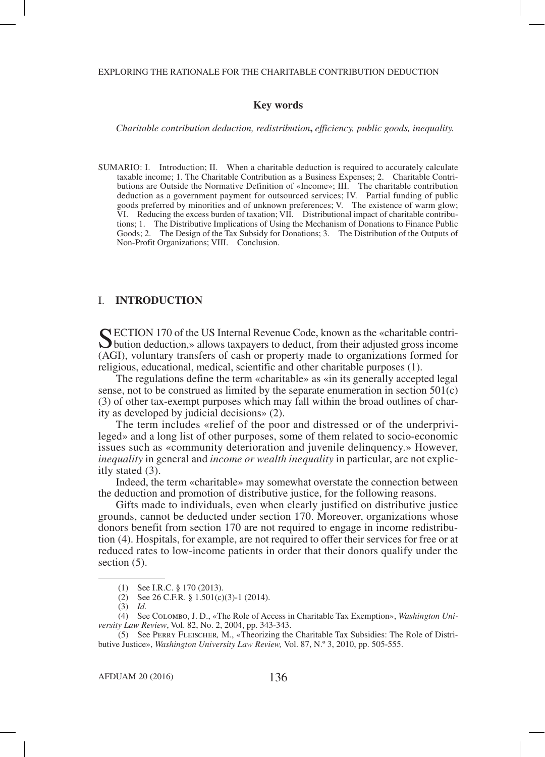#### **Key words**

*Charitable contribution deduction, redistribution***,** *efficiency, public goods, inequality.*

SUMARIO: I. Introduction; II. When a charitable deduction is required to accurately calculate taxable income; 1. The Charitable Contribution as a Business Expenses; 2. Charitable Contributions are Outside the Normative Definition of «Income»; III. The charitable contribution deduction as a government payment for outsourced services; IV. Partial funding of public goods preferred by minorities and of unknown preferences; V. The existence of warm glow; VI. Reducing the excess burden of taxation; VII. Distributional impact of charitable contributions; 1. The Distributive Implications of Using the Mechanism of Donations to Finance Public Goods; 2. The Design of the Tax Subsidy for Donations; 3. The Distribution of the Outputs of Non-Profit Organizations; VIII. Conclusion.

# I. **INTRODUCTION**

SECTION 170 of the US Internal Revenue Code, known as the «charitable contribution deduction,» allows taxpayers to deduct, from their adjusted gross income (AGI), voluntary transfers of cash or property made to organizations formed for religious, educational, medical, scientific and other charitable purposes (1).

The regulations define the term «charitable» as «in its generally accepted legal sense, not to be construed as limited by the separate enumeration in section  $501(c)$ (3) of other tax-exempt purposes which may fall within the broad outlines of charity as developed by judicial decisions» (2).

The term includes «relief of the poor and distressed or of the underprivileged» and a long list of other purposes, some of them related to socio-economic issues such as «community deterioration and juvenile delinquency.» However, *inequality* in general and *income or wealth inequality* in particular, are not explicitly stated (3).

Indeed, the term «charitable» may somewhat overstate the connection between the deduction and promotion of distributive justice, for the following reasons.

Gifts made to individuals, even when clearly justified on distributive justice grounds, cannot be deducted under section 170. Moreover, organizations whose donors benefit from section 170 are not required to engage in income redistribution (4). Hospitals, for example, are not required to offer their services for free or at reduced rates to low-income patients in order that their donors qualify under the section  $(5)$ .

AFDUAM 20 (2016) 136

 <sup>(1)</sup> See I.R.C. § 170 (2013).

 <sup>(2)</sup> See 26 C.F.R. § 1.501(c)(3)-1 (2014).

 <sup>(3)</sup> *Id.*

 <sup>(4)</sup> See Colombo, J. D., «The Role of Access in Charitable Tax Exemption», *Washington University Law Review*, Vol. 82, No. 2, 2004, pp. 343-343.

 <sup>(5)</sup> See Perry Fleischer*,* M*.*, «Theorizing the Charitable Tax Subsidies: The Role of Distributive Justice», *Washington University Law Review,* Vol. 87, N.º 3, 2010, pp. 505-555.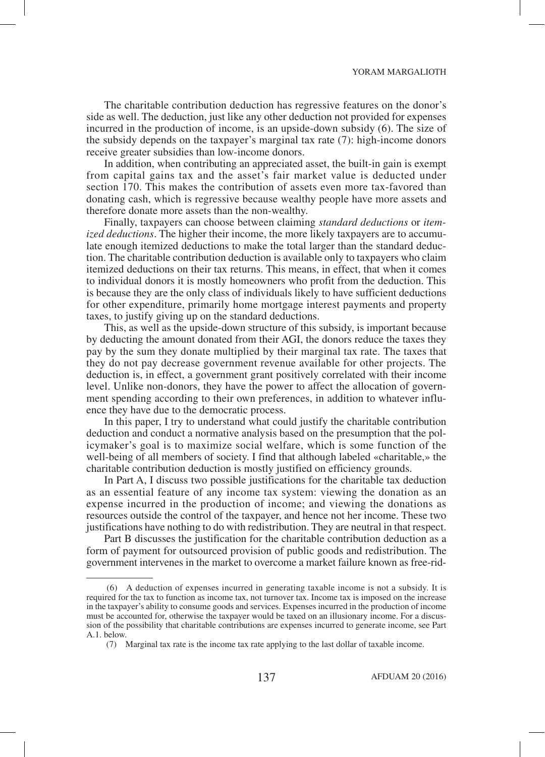The charitable contribution deduction has regressive features on the donor's side as well. The deduction, just like any other deduction not provided for expenses incurred in the production of income, is an upside-down subsidy (6). The size of the subsidy depends on the taxpayer's marginal tax rate (7): high-income donors receive greater subsidies than low-income donors.

In addition, when contributing an appreciated asset, the built-in gain is exempt from capital gains tax and the asset's fair market value is deducted under section 170. This makes the contribution of assets even more tax-favored than donating cash, which is regressive because wealthy people have more assets and therefore donate more assets than the non-wealthy.

Finally, taxpayers can choose between claiming *standard deductions* or *itemized deductions*. The higher their income, the more likely taxpayers are to accumulate enough itemized deductions to make the total larger than the standard deduction. The charitable contribution deduction is available only to taxpayers who claim itemized deductions on their tax returns. This means, in effect, that when it comes to individual donors it is mostly homeowners who profit from the deduction. This is because they are the only class of individuals likely to have sufficient deductions for other expenditure, primarily home mortgage interest payments and property taxes, to justify giving up on the standard deductions.

This, as well as the upside-down structure of this subsidy, is important because by deducting the amount donated from their AGI, the donors reduce the taxes they pay by the sum they donate multiplied by their marginal tax rate. The taxes that they do not pay decrease government revenue available for other projects. The deduction is, in effect, a government grant positively correlated with their income level. Unlike non-donors, they have the power to affect the allocation of government spending according to their own preferences, in addition to whatever influence they have due to the democratic process.

In this paper, I try to understand what could justify the charitable contribution deduction and conduct a normative analysis based on the presumption that the policymaker's goal is to maximize social welfare, which is some function of the well-being of all members of society. I find that although labeled «charitable,» the charitable contribution deduction is mostly justified on efficiency grounds.

In Part A, I discuss two possible justifications for the charitable tax deduction as an essential feature of any income tax system: viewing the donation as an expense incurred in the production of income; and viewing the donations as resources outside the control of the taxpayer, and hence not her income. These two justifications have nothing to do with redistribution. They are neutral in that respect.

Part B discusses the justification for the charitable contribution deduction as a form of payment for outsourced provision of public goods and redistribution. The government intervenes in the market to overcome a market failure known as free-rid-

 <sup>(6)</sup> A deduction of expenses incurred in generating taxable income is not a subsidy. It is required for the tax to function as income tax, not turnover tax. Income tax is imposed on the increase in the taxpayer's ability to consume goods and services. Expenses incurred in the production of income must be accounted for, otherwise the taxpayer would be taxed on an illusionary income. For a discussion of the possibility that charitable contributions are expenses incurred to generate income, see Part A.1. below.

 <sup>(7)</sup> Marginal tax rate is the income tax rate applying to the last dollar of taxable income.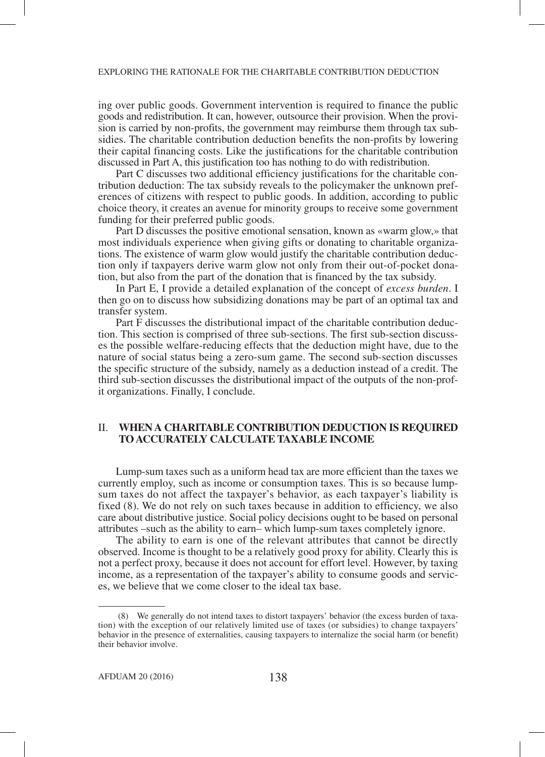ing over public goods. Government intervention is required to finance the public goods and redistribution. It can, however, outsource their provision. When the provision is carried by non-profits, the government may reimburse them through tax subsidies. The charitable contribution deduction benefits the non-profits by lowering their capital financing costs. Like the justifications for the charitable contribution discussed in Part A, this justification too has nothing to do with redistribution.

Part C discusses two additional efficiency justifications for the charitable contribution deduction: The tax subsidy reveals to the policymaker the unknown preferences of citizens with respect to public goods. In addition, according to public choice theory, it creates an avenue for minority groups to receive some government funding for their preferred public goods.

Part D discusses the positive emotional sensation, known as «warm glow,» that most individuals experience when giving gifts or donating to charitable organizations. The existence of warm glow would justify the charitable contribution deduction only if taxpayers derive warm glow not only from their out-of-pocket donation, but also from the part of the donation that is financed by the tax subsidy.

In Part E, I provide a detailed explanation of the concept of *excess burden*. I then go on to discuss how subsidizing donations may be part of an optimal tax and transfer system.

Part F discusses the distributional impact of the charitable contribution deduction. This section is comprised of three sub-sections. The first sub-section discusses the possible welfare-reducing effects that the deduction might have, due to the nature of social status being a zero-sum game. The second sub-section discusses the specific structure of the subsidy, namely as a deduction instead of a credit. The third sub-section discusses the distributional impact of the outputs of the non-profit organizations. Finally, I conclude.

### II. **WHEN A CHARITABLE CONTRIBUTION DEDUCTION IS REQUIRED TO ACCURATELY CALCULATE TAXABLE INCOME**

Lump-sum taxes such as a uniform head tax are more efficient than the taxes we currently employ, such as income or consumption taxes. This is so because lumpsum taxes do not affect the taxpayer's behavior, as each taxpayer's liability is fixed (8). We do not rely on such taxes because in addition to efficiency, we also care about distributive justice. Social policy decisions ought to be based on personal attributes –such as the ability to earn– which lump-sum taxes completely ignore.

The ability to earn is one of the relevant attributes that cannot be directly observed. Income is thought to be a relatively good proxy for ability. Clearly this is not a perfect proxy, because it does not account for effort level. However, by taxing income, as a representation of the taxpayer's ability to consume goods and services, we believe that we come closer to the ideal tax base.

 <sup>(8)</sup> We generally do not intend taxes to distort taxpayers' behavior (the excess burden of taxation) with the exception of our relatively limited use of taxes (or subsidies) to change taxpayers' behavior in the presence of externalities, causing taxpayers to internalize the social harm (or benefit) their behavior involve.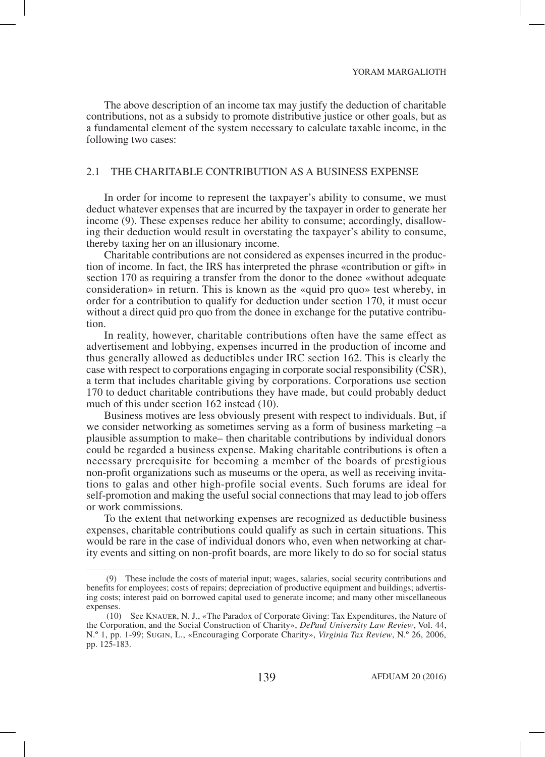The above description of an income tax may justify the deduction of charitable contributions, not as a subsidy to promote distributive justice or other goals, but as a fundamental element of the system necessary to calculate taxable income, in the following two cases:

### 2.1 THE CHARITABLE CONTRIBUTION AS A BUSINESS EXPENSE

In order for income to represent the taxpayer's ability to consume, we must deduct whatever expenses that are incurred by the taxpayer in order to generate her income (9). These expenses reduce her ability to consume; accordingly, disallowing their deduction would result in overstating the taxpayer's ability to consume, thereby taxing her on an illusionary income.

Charitable contributions are not considered as expenses incurred in the production of income. In fact, the IRS has interpreted the phrase «contribution or gift» in section 170 as requiring a transfer from the donor to the donee «without adequate consideration» in return. This is known as the «quid pro quo» test whereby, in order for a contribution to qualify for deduction under section 170, it must occur without a direct quid pro quo from the donee in exchange for the putative contribution.

In reality, however, charitable contributions often have the same effect as advertisement and lobbying, expenses incurred in the production of income and thus generally allowed as deductibles under IRC section 162. This is clearly the case with respect to corporations engaging in corporate social responsibility (CSR), a term that includes charitable giving by corporations. Corporations use section 170 to deduct charitable contributions they have made, but could probably deduct much of this under section 162 instead (10).

Business motives are less obviously present with respect to individuals. But, if we consider networking as sometimes serving as a form of business marketing –a plausible assumption to make– then charitable contributions by individual donors could be regarded a business expense. Making charitable contributions is often a necessary prerequisite for becoming a member of the boards of prestigious non-profit organizations such as museums or the opera, as well as receiving invitations to galas and other high-profile social events. Such forums are ideal for self-promotion and making the useful social connections that may lead to job offers or work commissions.

To the extent that networking expenses are recognized as deductible business expenses, charitable contributions could qualify as such in certain situations. This would be rare in the case of individual donors who, even when networking at charity events and sitting on non-profit boards, are more likely to do so for social status

 <sup>(9)</sup> These include the costs of material input; wages, salaries, social security contributions and benefits for employees; costs of repairs; depreciation of productive equipment and buildings; advertising costs; interest paid on borrowed capital used to generate income; and many other miscellaneous expenses.

 <sup>(10)</sup> See Knauer, N. J., «The Paradox of Corporate Giving: Tax Expenditures, the Nature of the Corporation, and the Social Construction of Charity», *DePaul University Law Review*, Vol. 44, N.º 1, pp. 1-99; Sugin, L., «Encouraging Corporate Charity», *Virginia Tax Review*, N.º 26, 2006, pp. 125-183.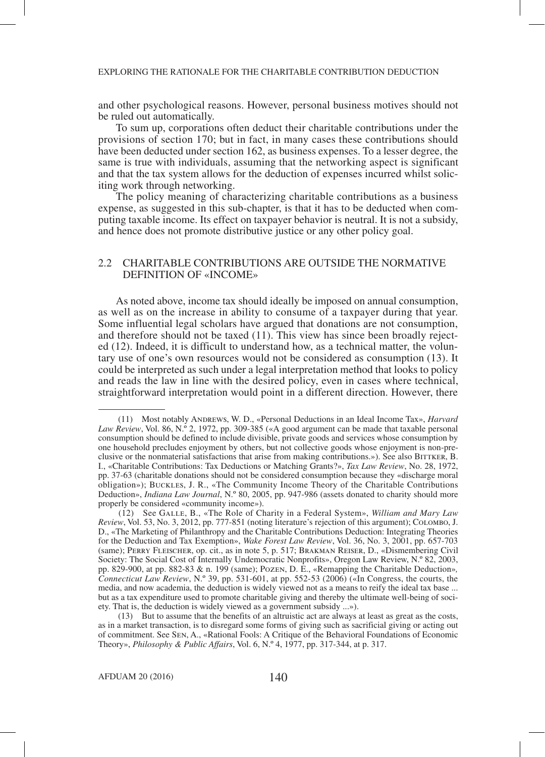and other psychological reasons. However, personal business motives should not be ruled out automatically.

To sum up, corporations often deduct their charitable contributions under the provisions of section 170; but in fact, in many cases these contributions should have been deducted under section 162, as business expenses. To a lesser degree, the same is true with individuals, assuming that the networking aspect is significant and that the tax system allows for the deduction of expenses incurred whilst soliciting work through networking.

The policy meaning of characterizing charitable contributions as a business expense, as suggested in this sub-chapter, is that it has to be deducted when computing taxable income. Its effect on taxpayer behavior is neutral. It is not a subsidy, and hence does not promote distributive justice or any other policy goal.

# 2.2 CHARITABLE CONTRIBUTIONS ARE OUTSIDE THE NORMATIVE DEFINITION OF «INCOME»

As noted above, income tax should ideally be imposed on annual consumption, as well as on the increase in ability to consume of a taxpayer during that year. Some influential legal scholars have argued that donations are not consumption, and therefore should not be taxed (11). This view has since been broadly rejected (12). Indeed, it is difficult to understand how, as a technical matter, the voluntary use of one's own resources would not be considered as consumption (13). It could be interpreted as such under a legal interpretation method that looks to policy and reads the law in line with the desired policy, even in cases where technical, straightforward interpretation would point in a different direction. However, there

 <sup>(11)</sup> Most notably Andrews, W. D., «Personal Deductions in an Ideal Income Tax», *Harvard Law Review*, Vol. 86, N.º 2, 1972, pp. 309-385 («A good argument can be made that taxable personal consumption should be defined to include divisible, private goods and services whose consumption by one household precludes enjoyment by others, but not collective goods whose enjoyment is non-preclusive or the nonmaterial satisfactions that arise from making contributions.»). See also BITTKER, B. I., «Charitable Contributions: Tax Deductions or Matching Grants?», *Tax Law Review*, No. 28, 1972, pp. 37-63 (charitable donations should not be considered consumption because they «discharge moral obligation»); Buckles, J. R., «The Community Income Theory of the Charitable Contributions Deduction», *Indiana Law Journal*, N.º 80, 2005, pp. 947-986 (assets donated to charity should more properly be considered «community income»).

 <sup>(12)</sup> See Galle, B., «The Role of Charity in a Federal System», *William and Mary Law Review*, Vol. 53, No. 3, 2012, pp. 777-851 (noting literature's rejection of this argument); Colombo, J. D., «The Marketing of Philanthropy and the Charitable Contributions Deduction: Integrating Theories for the Deduction and Tax Exemption», *Wake Forest Law Review*, Vol. 36, No. 3, 2001, pp. 657-703 (same); Perry Fleischer, op. cit., as in note 5, p. 517; Brakman Reiser, D., «Dismembering Civil Society: The Social Cost of Internally Undemocratic Nonprofits», Oregon Law Review, N.º 82, 2003, pp. 829-900, at pp. 882-83 & n. 199 (same); Pozen, D. E., «Remapping the Charitable Deduction»*, Connecticut Law Review*, N.º 39, pp. 531-601, at pp. 552-53 (2006) («In Congress, the courts, the media, and now academia, the deduction is widely viewed not as a means to reify the ideal tax base ... but as a tax expenditure used to promote charitable giving and thereby the ultimate well-being of society. That is, the deduction is widely viewed as a government subsidy ...»).

 <sup>(13)</sup> But to assume that the benefits of an altruistic act are always at least as great as the costs, as in a market transaction, is to disregard some forms of giving such as sacrificial giving or acting out of commitment. See Sen, A., «Rational Fools: A Critique of the Behavioral Foundations of Economic Theory», *Philosophy & Public Affairs*, Vol. 6, N.º 4, 1977, pp. 317-344, at p. 317.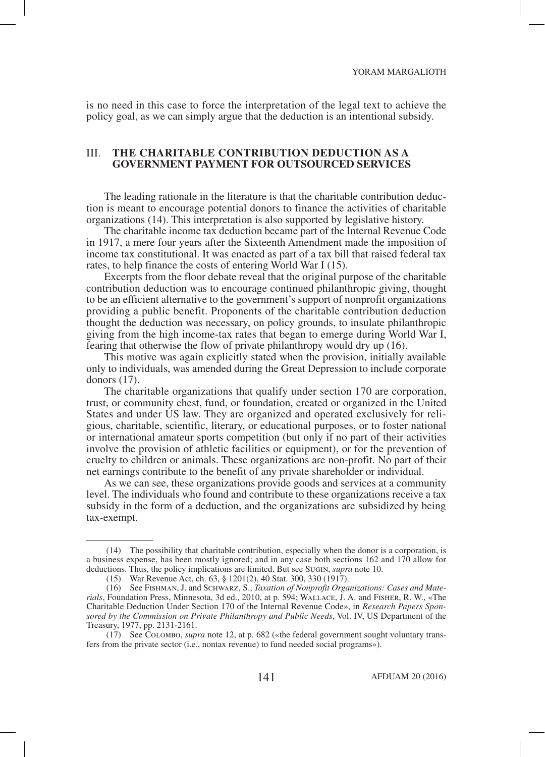is no need in this case to force the interpretation of the legal text to achieve the policy goal, as we can simply argue that the deduction is an intentional subsidy.

### III. **THE CHARITABLE CONTRIBUTION DEDUCTION AS A GOVERNMENT PAYMENT FOR OUTSOURCED SERVICES**

The leading rationale in the literature is that the charitable contribution deduction is meant to encourage potential donors to finance the activities of charitable organizations (14). This interpretation is also supported by legislative history.

The charitable income tax deduction became part of the Internal Revenue Code in 1917, a mere four years after the Sixteenth Amendment made the imposition of income tax constitutional. It was enacted as part of a tax bill that raised federal tax rates, to help finance the costs of entering World War I (15).

Excerpts from the floor debate reveal that the original purpose of the charitable contribution deduction was to encourage continued philanthropic giving, thought to be an efficient alternative to the government's support of nonprofit organizations providing a public benefit. Proponents of the charitable contribution deduction thought the deduction was necessary, on policy grounds, to insulate philanthropic giving from the high income-tax rates that began to emerge during World War I, fearing that otherwise the flow of private philanthropy would dry up (16).

This motive was again explicitly stated when the provision, initially available only to individuals, was amended during the Great Depression to include corporate donors (17).

The charitable organizations that qualify under section 170 are corporation, trust, or community chest, fund, or foundation, created or organized in the United States and under US law. They are organized and operated exclusively for religious, charitable, scientific, literary, or educational purposes, or to foster national or international amateur sports competition (but only if no part of their activities involve the provision of athletic facilities or equipment), or for the prevention of cruelty to children or animals. These organizations are non-profit. No part of their net earnings contribute to the benefit of any private shareholder or individual.

As we can see, these organizations provide goods and services at a community level. The individuals who found and contribute to these organizations receive a tax subsidy in the form of a deduction, and the organizations are subsidized by being tax-exempt.

 <sup>(14)</sup> The possibility that charitable contribution, especially when the donor is a corporation, is a business expense, has been mostly ignored; and in any case both sections 162 and 170 allow for deductions. Thus, the policy implications are limited. But see Sugin, *supra* note 10.

 <sup>(15)</sup> War Revenue Act, ch. 63, § 1201(2), 40 Stat. 300, 330 (1917).

 <sup>(16)</sup> See Fishman, J. and Schwarz, S., *Taxation of Nonprofit Organizations: Cases and Materials*, Foundation Press, Minnesota, 3d ed., 2010, at p. 594; Wallace, J. A. and Fisher, R. W., «The Charitable Deduction Under Section 170 of the Internal Revenue Code», in *Research Papers Sponsored by the Commission on Private Philanthropy and Public Needs*, Vol. IV, US Department of the Treasury, 1977, pp. 2131-2161.

 <sup>(17)</sup> See Colombo, *supra* note 12, at p. 682 («the federal government sought voluntary transfers from the private sector (i.e., nontax revenue) to fund needed social programs»).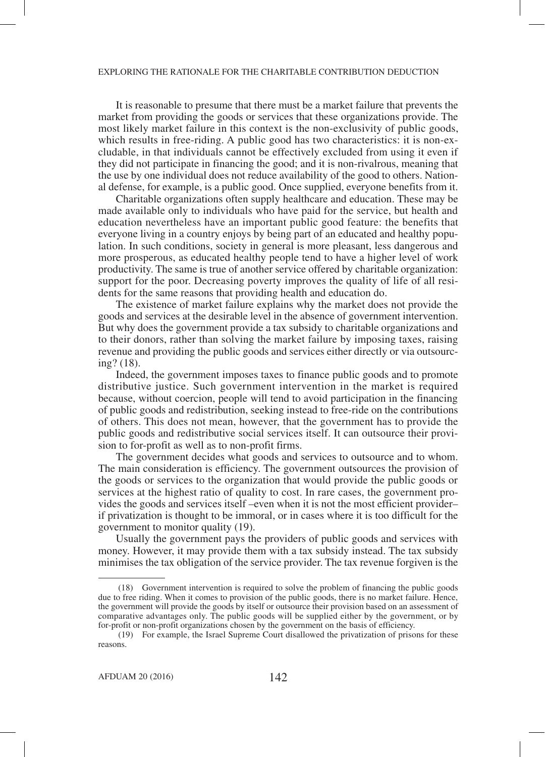It is reasonable to presume that there must be a market failure that prevents the market from providing the goods or services that these organizations provide. The most likely market failure in this context is the non-exclusivity of public goods, which results in free-riding. A public good has two characteristics: it is non-excludable, in that individuals cannot be effectively excluded from using it even if they did not participate in financing the good; and it is non-rivalrous, meaning that the use by one individual does not reduce availability of the good to others. National defense, for example, is a public good. Once supplied, everyone benefits from it.

Charitable organizations often supply healthcare and education. These may be made available only to individuals who have paid for the service, but health and education nevertheless have an important public good feature: the benefits that everyone living in a country enjoys by being part of an educated and healthy population. In such conditions, society in general is more pleasant, less dangerous and more prosperous, as educated healthy people tend to have a higher level of work productivity. The same is true of another service offered by charitable organization: support for the poor. Decreasing poverty improves the quality of life of all residents for the same reasons that providing health and education do.

The existence of market failure explains why the market does not provide the goods and services at the desirable level in the absence of government intervention. But why does the government provide a tax subsidy to charitable organizations and to their donors, rather than solving the market failure by imposing taxes, raising revenue and providing the public goods and services either directly or via outsourcing? (18).

Indeed, the government imposes taxes to finance public goods and to promote distributive justice. Such government intervention in the market is required because, without coercion, people will tend to avoid participation in the financing of public goods and redistribution, seeking instead to free-ride on the contributions of others. This does not mean, however, that the government has to provide the public goods and redistributive social services itself. It can outsource their provision to for-profit as well as to non-profit firms.

The government decides what goods and services to outsource and to whom. The main consideration is efficiency. The government outsources the provision of the goods or services to the organization that would provide the public goods or services at the highest ratio of quality to cost. In rare cases, the government provides the goods and services itself –even when it is not the most efficient provider– if privatization is thought to be immoral, or in cases where it is too difficult for the government to monitor quality (19).

Usually the government pays the providers of public goods and services with money. However, it may provide them with a tax subsidy instead. The tax subsidy minimises the tax obligation of the service provider. The tax revenue forgiven is the

 <sup>(18)</sup> Government intervention is required to solve the problem of financing the public goods due to free riding. When it comes to provision of the public goods, there is no market failure. Hence, the government will provide the goods by itself or outsource their provision based on an assessment of comparative advantages only. The public goods will be supplied either by the government, or by for-profit or non-profit organizations chosen by the government on the basis of efficiency.

 <sup>(19)</sup> For example, the Israel Supreme Court disallowed the privatization of prisons for these reasons.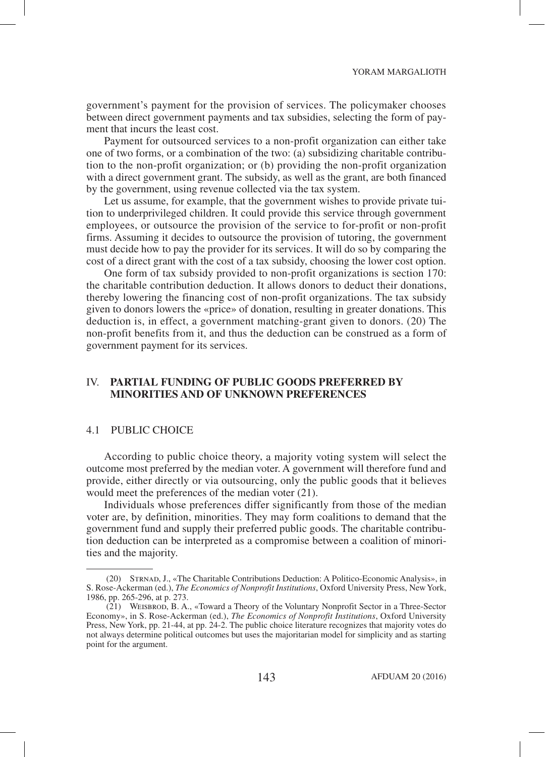government's payment for the provision of services. The policymaker chooses between direct government payments and tax subsidies, selecting the form of payment that incurs the least cost.

Payment for outsourced services to a non-profit organization can either take one of two forms, or a combination of the two: (a) subsidizing charitable contribution to the non-profit organization; or (b) providing the non-profit organization with a direct government grant. The subsidy, as well as the grant, are both financed by the government, using revenue collected via the tax system.

Let us assume, for example, that the government wishes to provide private tuition to underprivileged children. It could provide this service through government employees, or outsource the provision of the service to for-profit or non-profit firms. Assuming it decides to outsource the provision of tutoring, the government must decide how to pay the provider for its services. It will do so by comparing the cost of a direct grant with the cost of a tax subsidy, choosing the lower cost option.

One form of tax subsidy provided to non-profit organizations is section 170: the charitable contribution deduction. It allows donors to deduct their donations, thereby lowering the financing cost of non-profit organizations. The tax subsidy given to donors lowers the «price» of donation, resulting in greater donations. This deduction is, in effect, a government matching-grant given to donors. (20) The non-profit benefits from it, and thus the deduction can be construed as a form of government payment for its services.

# IV. **PARTIAL FUNDING OF PUBLIC GOODS PREFERRED BY MINORITIES AND OF UNKNOWN PREFERENCES**

## 4.1 PUBLIC CHOICE

According to public choice theory, a majority voting system will select the outcome most preferred by the median voter. A government will therefore fund and provide, either directly or via outsourcing, only the public goods that it believes would meet the preferences of the median voter (21).

Individuals whose preferences differ significantly from those of the median voter are, by definition, minorities. They may form coalitions to demand that the government fund and supply their preferred public goods. The charitable contribution deduction can be interpreted as a compromise between a coalition of minorities and the majority.

 <sup>(20)</sup> Strnad, J., «The Charitable Contributions Deduction: A Politico-Economic Analysis», in S. Rose-Ackerman (ed.), *The Economics of Nonprofit Institutions*, Oxford University Press, New York, 1986, pp. 265-296, at p. 273.

 <sup>(21)</sup> Weisbrod, B. A., «Toward a Theory of the Voluntary Nonprofit Sector in a Three-Sector Economy», in S. Rose-Ackerman (ed.), *The Economics of Nonprofit Institutions*, Oxford University Press, New York, pp. 21-44, at pp. 24-2. The public choice literature recognizes that majority votes do not always determine political outcomes but uses the majoritarian model for simplicity and as starting point for the argument.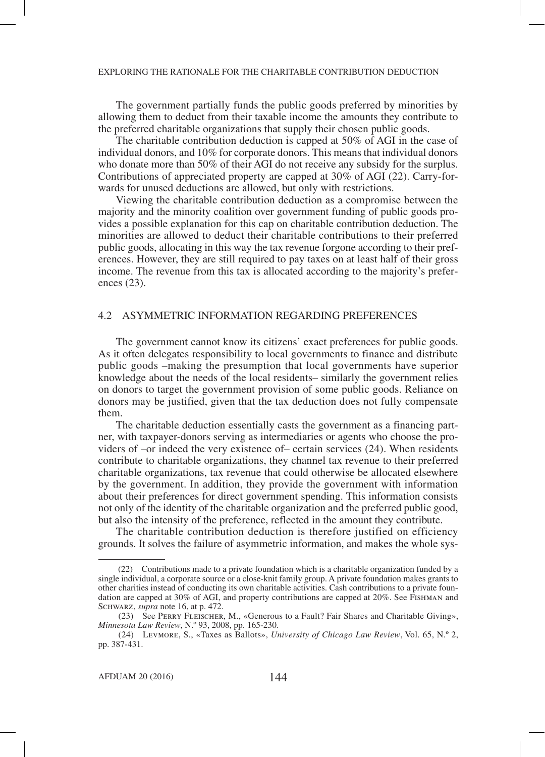The government partially funds the public goods preferred by minorities by allowing them to deduct from their taxable income the amounts they contribute to the preferred charitable organizations that supply their chosen public goods.

The charitable contribution deduction is capped at 50% of AGI in the case of individual donors, and 10% for corporate donors. This means that individual donors who donate more than 50% of their AGI do not receive any subsidy for the surplus. Contributions of appreciated property are capped at 30% of AGI (22). Carry-forwards for unused deductions are allowed, but only with restrictions.

Viewing the charitable contribution deduction as a compromise between the majority and the minority coalition over government funding of public goods provides a possible explanation for this cap on charitable contribution deduction. The minorities are allowed to deduct their charitable contributions to their preferred public goods, allocating in this way the tax revenue forgone according to their preferences. However, they are still required to pay taxes on at least half of their gross income. The revenue from this tax is allocated according to the majority's preferences (23).

### 4.2 ASYMMETRIC INFORMATION REGARDING PREFERENCES

The government cannot know its citizens' exact preferences for public goods. As it often delegates responsibility to local governments to finance and distribute public goods –making the presumption that local governments have superior knowledge about the needs of the local residents– similarly the government relies on donors to target the government provision of some public goods. Reliance on donors may be justified, given that the tax deduction does not fully compensate them.

The charitable deduction essentially casts the government as a financing partner, with taxpayer-donors serving as intermediaries or agents who choose the providers of –or indeed the very existence of– certain services (24). When residents contribute to charitable organizations, they channel tax revenue to their preferred charitable organizations, tax revenue that could otherwise be allocated elsewhere by the government. In addition, they provide the government with information about their preferences for direct government spending. This information consists not only of the identity of the charitable organization and the preferred public good, but also the intensity of the preference, reflected in the amount they contribute.

The charitable contribution deduction is therefore justified on efficiency grounds. It solves the failure of asymmetric information, and makes the whole sys-

 <sup>(22)</sup> Contributions made to a private foundation which is a charitable organization funded by a single individual, a corporate source or a close-knit family group. A private foundation makes grants to other charities instead of conducting its own charitable activities. Cash contributions to a private foundation are capped at 30% of AGI, and property contributions are capped at 20%. See Fishman and SCHWARZ, *supra* note 16, at p. 472.

 <sup>(23)</sup> See Perry Fleischer, M., «Generous to a Fault? Fair Shares and Charitable Giving», *Minnesota Law Review*, N.º 93, 2008, pp. 165-230.

 <sup>(24)</sup> Levmore, S., «Taxes as Ballots», *University of Chicago Law Review*, Vol. 65, N.º 2, pp. 387-431.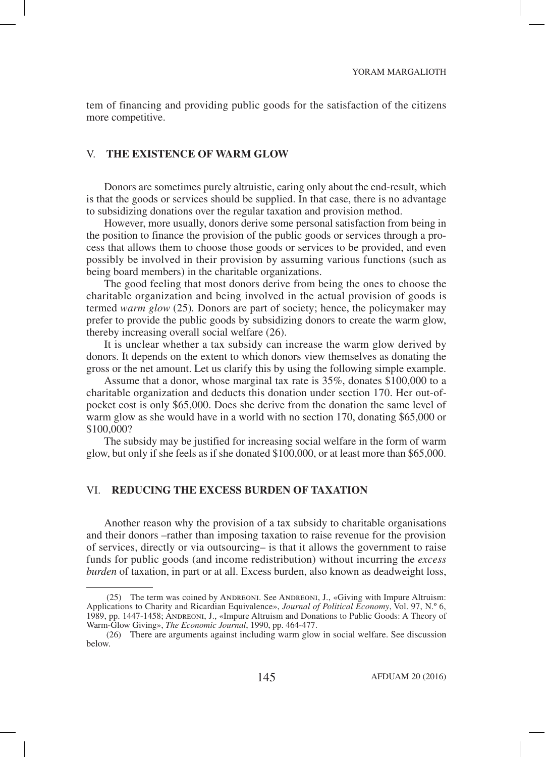tem of financing and providing public goods for the satisfaction of the citizens more competitive.

# V. **THE EXISTENCE OF WARM GLOW**

Donors are sometimes purely altruistic, caring only about the end-result, which is that the goods or services should be supplied. In that case, there is no advantage to subsidizing donations over the regular taxation and provision method.

However, more usually, donors derive some personal satisfaction from being in the position to finance the provision of the public goods or services through a process that allows them to choose those goods or services to be provided, and even possibly be involved in their provision by assuming various functions (such as being board members) in the charitable organizations.

The good feeling that most donors derive from being the ones to choose the charitable organization and being involved in the actual provision of goods is termed *warm glow* (25)*.* Donors are part of society; hence, the policymaker may prefer to provide the public goods by subsidizing donors to create the warm glow, thereby increasing overall social welfare (26).

It is unclear whether a tax subsidy can increase the warm glow derived by donors. It depends on the extent to which donors view themselves as donating the gross or the net amount. Let us clarify this by using the following simple example.

Assume that a donor, whose marginal tax rate is 35%, donates \$100,000 to a charitable organization and deducts this donation under section 170. Her out-ofpocket cost is only \$65,000. Does she derive from the donation the same level of warm glow as she would have in a world with no section 170, donating \$65,000 or \$100,000?

The subsidy may be justified for increasing social welfare in the form of warm glow, but only if she feels as if she donated \$100,000, or at least more than \$65,000.

# VI. **REDUCING THE EXCESS BURDEN OF TAXATION**

Another reason why the provision of a tax subsidy to charitable organisations and their donors –rather than imposing taxation to raise revenue for the provision of services, directly or via outsourcing– is that it allows the government to raise funds for public goods (and income redistribution) without incurring the *excess burden* of taxation, in part or at all. Excess burden, also known as deadweight loss,

<sup>(25)</sup> The term was coined by ANDREONI. See ANDREONI, J., «Giving with Impure Altruism: Applications to Charity and Ricardian Equivalence», *Journal of Political Economy*, Vol. 97, N.º 6, 1989, pp. 1447-1458; Andreoni, J., «Impure Altruism and Donations to Public Goods: A Theory of Warm-Glow Giving», *The Economic Journal*, 1990, pp. 464-477.

 <sup>(26)</sup> There are arguments against including warm glow in social welfare. See discussion below.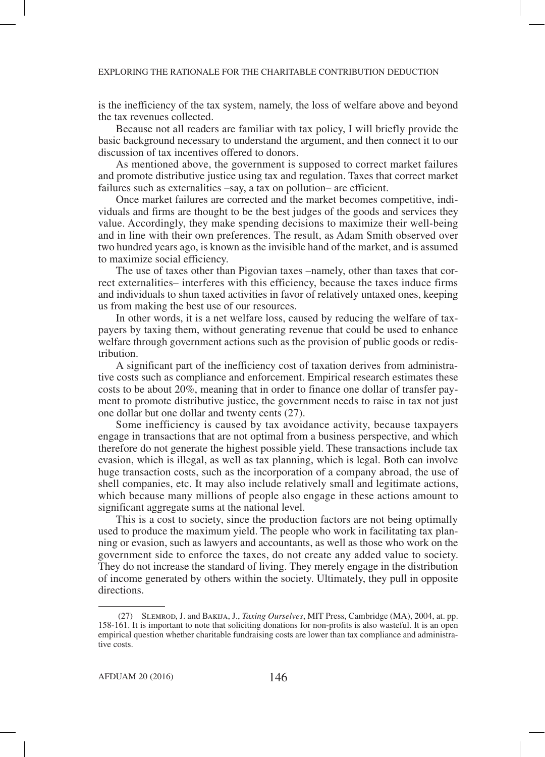is the inefficiency of the tax system, namely, the loss of welfare above and beyond the tax revenues collected.

Because not all readers are familiar with tax policy, I will briefly provide the basic background necessary to understand the argument, and then connect it to our discussion of tax incentives offered to donors.

As mentioned above, the government is supposed to correct market failures and promote distributive justice using tax and regulation. Taxes that correct market failures such as externalities –say, a tax on pollution– are efficient.

Once market failures are corrected and the market becomes competitive, individuals and firms are thought to be the best judges of the goods and services they value. Accordingly, they make spending decisions to maximize their well-being and in line with their own preferences. The result, as Adam Smith observed over two hundred years ago, is known as the invisible hand of the market, and is assumed to maximize social efficiency.

The use of taxes other than Pigovian taxes –namely, other than taxes that correct externalities– interferes with this efficiency, because the taxes induce firms and individuals to shun taxed activities in favor of relatively untaxed ones, keeping us from making the best use of our resources.

In other words, it is a net welfare loss, caused by reducing the welfare of taxpayers by taxing them, without generating revenue that could be used to enhance welfare through government actions such as the provision of public goods or redistribution.

A significant part of the inefficiency cost of taxation derives from administrative costs such as compliance and enforcement. Empirical research estimates these costs to be about 20%, meaning that in order to finance one dollar of transfer payment to promote distributive justice, the government needs to raise in tax not just one dollar but one dollar and twenty cents (27).

Some inefficiency is caused by tax avoidance activity, because taxpayers engage in transactions that are not optimal from a business perspective, and which therefore do not generate the highest possible yield. These transactions include tax evasion, which is illegal, as well as tax planning, which is legal. Both can involve huge transaction costs, such as the incorporation of a company abroad, the use of shell companies, etc. It may also include relatively small and legitimate actions, which because many millions of people also engage in these actions amount to significant aggregate sums at the national level.

This is a cost to society, since the production factors are not being optimally used to produce the maximum yield. The people who work in facilitating tax planning or evasion, such as lawyers and accountants, as well as those who work on the government side to enforce the taxes, do not create any added value to society. They do not increase the standard of living. They merely engage in the distribution of income generated by others within the society. Ultimately, they pull in opposite directions.

 <sup>(27)</sup> Slemrod, J. and Bakija, J., *Taxing Ourselves*, MIT Press, Cambridge (MA), 2004, at. pp. 158-161. It is important to note that soliciting donations for non-profits is also wasteful. It is an open empirical question whether charitable fundraising costs are lower than tax compliance and administrative costs.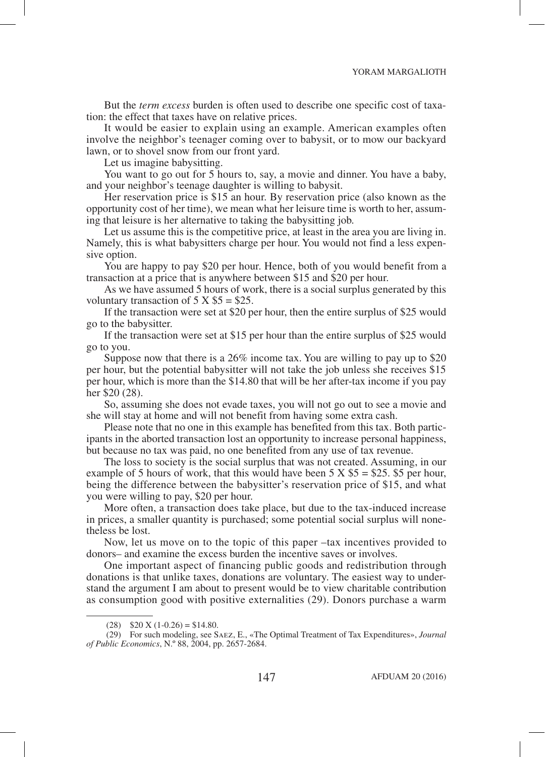But the *term excess* burden is often used to describe one specific cost of taxation: the effect that taxes have on relative prices.

It would be easier to explain using an example. American examples often involve the neighbor's teenager coming over to babysit, or to mow our backyard lawn, or to shovel snow from our front yard.

Let us imagine babysitting.

You want to go out for 5 hours to, say, a movie and dinner. You have a baby, and your neighbor's teenage daughter is willing to babysit.

Her reservation price is \$15 an hour. By reservation price (also known as the opportunity cost of her time), we mean what her leisure time is worth to her, assuming that leisure is her alternative to taking the babysitting job.

Let us assume this is the competitive price, at least in the area you are living in. Namely, this is what babysitters charge per hour. You would not find a less expensive option.

You are happy to pay \$20 per hour. Hence, both of you would benefit from a transaction at a price that is anywhere between \$15 and \$20 per hour.

As we have assumed 5 hours of work, there is a social surplus generated by this voluntary transaction of  $5 \times $5 = $25$ .

If the transaction were set at \$20 per hour, then the entire surplus of \$25 would go to the babysitter.

If the transaction were set at \$15 per hour than the entire surplus of \$25 would go to you.

Suppose now that there is a  $26\%$  income tax. You are willing to pay up to \$20 per hour, but the potential babysitter will not take the job unless she receives \$15 per hour, which is more than the \$14.80 that will be her after-tax income if you pay her \$20 (28).

So, assuming she does not evade taxes, you will not go out to see a movie and she will stay at home and will not benefit from having some extra cash.

Please note that no one in this example has benefited from this tax. Both participants in the aborted transaction lost an opportunity to increase personal happiness, but because no tax was paid, no one benefited from any use of tax revenue.

The loss to society is the social surplus that was not created. Assuming, in our example of 5 hours of work, that this would have been  $5 \times $5 = $25$ . \$5 per hour, being the difference between the babysitter's reservation price of \$15, and what you were willing to pay, \$20 per hour.

More often, a transaction does take place, but due to the tax-induced increase in prices, a smaller quantity is purchased; some potential social surplus will nonetheless be lost.

Now, let us move on to the topic of this paper –tax incentives provided to donors– and examine the excess burden the incentive saves or involves.

One important aspect of financing public goods and redistribution through donations is that unlike taxes, donations are voluntary. The easiest way to understand the argument I am about to present would be to view charitable contribution as consumption good with positive externalities (29). Donors purchase a warm

 $(28)$  \$20 X  $(1-0.26) = $14.80$ .

 <sup>(29)</sup> For such modeling, see Saez, E., «The Optimal Treatment of Tax Expenditures», *Journal of Public Economics*, N.º 88, 2004, pp. 2657-2684.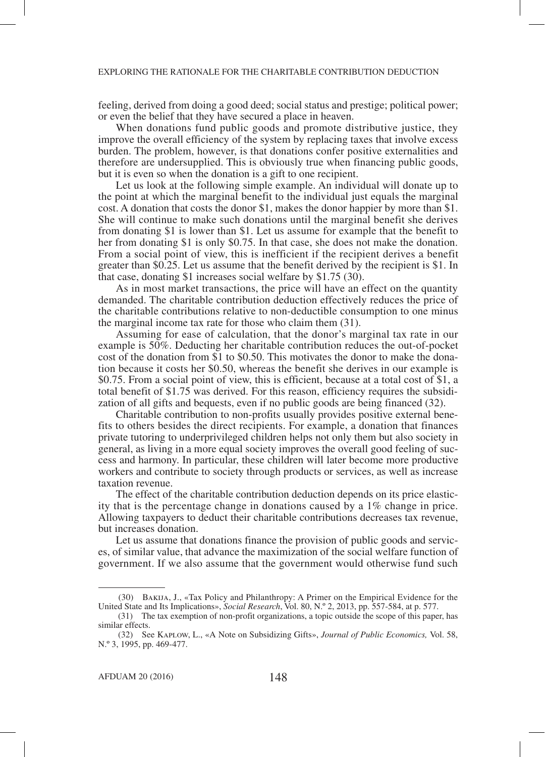feeling, derived from doing a good deed; social status and prestige; political power; or even the belief that they have secured a place in heaven.

When donations fund public goods and promote distributive justice, they improve the overall efficiency of the system by replacing taxes that involve excess burden. The problem, however, is that donations confer positive externalities and therefore are undersupplied. This is obviously true when financing public goods, but it is even so when the donation is a gift to one recipient.

Let us look at the following simple example. An individual will donate up to the point at which the marginal benefit to the individual just equals the marginal cost. A donation that costs the donor \$1, makes the donor happier by more than \$1. She will continue to make such donations until the marginal benefit she derives from donating \$1 is lower than \$1. Let us assume for example that the benefit to her from donating \$1 is only \$0.75. In that case, she does not make the donation. From a social point of view, this is inefficient if the recipient derives a benefit greater than \$0.25. Let us assume that the benefit derived by the recipient is \$1. In that case, donating \$1 increases social welfare by \$1.75 (30).

As in most market transactions, the price will have an effect on the quantity demanded. The charitable contribution deduction effectively reduces the price of the charitable contributions relative to non-deductible consumption to one minus the marginal income tax rate for those who claim them (31).

Assuming for ease of calculation, that the donor's marginal tax rate in our example is 50%. Deducting her charitable contribution reduces the out-of-pocket cost of the donation from \$1 to \$0.50. This motivates the donor to make the donation because it costs her \$0.50, whereas the benefit she derives in our example is \$0.75. From a social point of view, this is efficient, because at a total cost of \$1, a total benefit of \$1.75 was derived. For this reason, efficiency requires the subsidization of all gifts and bequests, even if no public goods are being financed (32).

Charitable contribution to non-profits usually provides positive external benefits to others besides the direct recipients. For example, a donation that finances private tutoring to underprivileged children helps not only them but also society in general, as living in a more equal society improves the overall good feeling of success and harmony. In particular, these children will later become more productive workers and contribute to society through products or services, as well as increase taxation revenue.

The effect of the charitable contribution deduction depends on its price elasticity that is the percentage change in donations caused by a 1% change in price. Allowing taxpayers to deduct their charitable contributions decreases tax revenue, but increases donation.

Let us assume that donations finance the provision of public goods and services, of similar value, that advance the maximization of the social welfare function of government. If we also assume that the government would otherwise fund such

 <sup>(30)</sup> Bakija, J., «Tax Policy and Philanthropy: A Primer on the Empirical Evidence for the United State and Its Implications», *Social Research*, Vol. 80, N.º 2, 2013, pp. 557-584, at p. 577.

 <sup>(31)</sup> The tax exemption of non-profit organizations, a topic outside the scope of this paper, has similar effects.

 <sup>(32)</sup> See Kaplow, L., «A Note on Subsidizing Gifts», *Journal of Public Economics,* Vol. 58, N.º 3, 1995, pp. 469-477.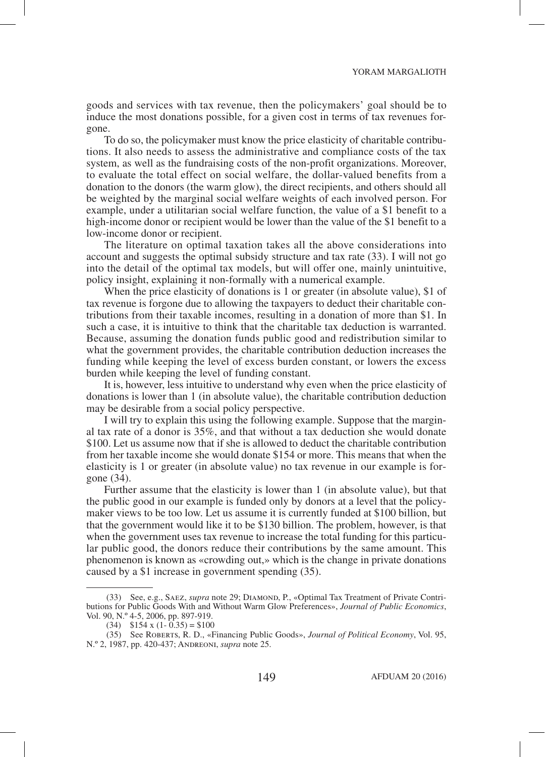goods and services with tax revenue, then the policymakers' goal should be to induce the most donations possible, for a given cost in terms of tax revenues forgone.

To do so, the policymaker must know the price elasticity of charitable contributions. It also needs to assess the administrative and compliance costs of the tax system, as well as the fundraising costs of the non-profit organizations. Moreover, to evaluate the total effect on social welfare, the dollar-valued benefits from a donation to the donors (the warm glow), the direct recipients, and others should all be weighted by the marginal social welfare weights of each involved person. For example, under a utilitarian social welfare function, the value of a \$1 benefit to a high-income donor or recipient would be lower than the value of the \$1 benefit to a low-income donor or recipient.

The literature on optimal taxation takes all the above considerations into account and suggests the optimal subsidy structure and tax rate (33). I will not go into the detail of the optimal tax models, but will offer one, mainly unintuitive, policy insight, explaining it non-formally with a numerical example.

When the price elasticity of donations is 1 or greater (in absolute value), \$1 of tax revenue is forgone due to allowing the taxpayers to deduct their charitable contributions from their taxable incomes, resulting in a donation of more than \$1. In such a case, it is intuitive to think that the charitable tax deduction is warranted. Because, assuming the donation funds public good and redistribution similar to what the government provides, the charitable contribution deduction increases the funding while keeping the level of excess burden constant, or lowers the excess burden while keeping the level of funding constant.

It is, however, less intuitive to understand why even when the price elasticity of donations is lower than 1 (in absolute value), the charitable contribution deduction may be desirable from a social policy perspective.

I will try to explain this using the following example. Suppose that the marginal tax rate of a donor is 35%, and that without a tax deduction she would donate \$100. Let us assume now that if she is allowed to deduct the charitable contribution from her taxable income she would donate \$154 or more. This means that when the elasticity is 1 or greater (in absolute value) no tax revenue in our example is forgone (34).

Further assume that the elasticity is lower than 1 (in absolute value), but that the public good in our example is funded only by donors at a level that the policymaker views to be too low. Let us assume it is currently funded at \$100 billion, but that the government would like it to be \$130 billion. The problem, however, is that when the government uses tax revenue to increase the total funding for this particular public good, the donors reduce their contributions by the same amount. This phenomenon is known as «crowding out,» which is the change in private donations caused by a \$1 increase in government spending (35).

 <sup>(33)</sup> See, e.g., Saez, *supra* note 29; Diamond, P., «Optimal Tax Treatment of Private Contributions for Public Goods With and Without Warm Glow Preferences», *Journal of Public Economics*, Vol. 90, N.º 4-5, 2006, pp. 897-919.

 $(34)$  \$154 x  $(1 - 0.35) = $100$ 

 <sup>(35)</sup> See Roberts, R. D., «Financing Public Goods», *Journal of Political Economy*, Vol. 95, N.º 2, 1987, pp. 420-437; Andreoni, *supra* note 25.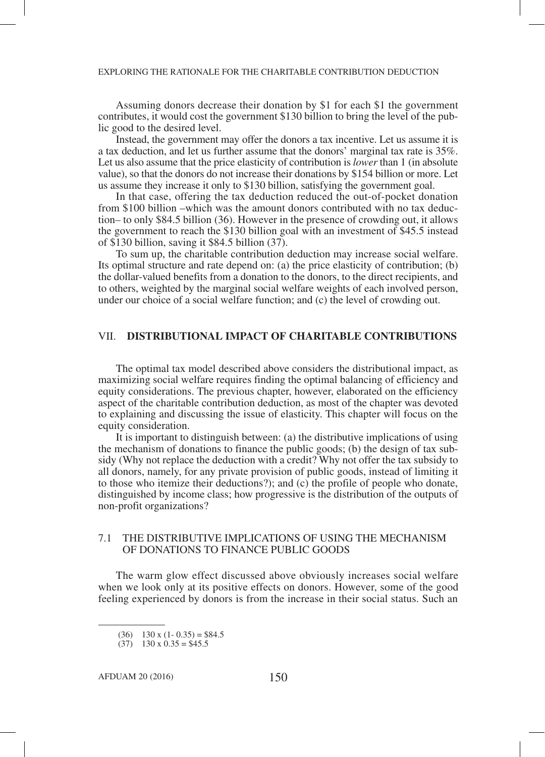Assuming donors decrease their donation by \$1 for each \$1 the government contributes, it would cost the government \$130 billion to bring the level of the public good to the desired level.

Instead, the government may offer the donors a tax incentive. Let us assume it is a tax deduction, and let us further assume that the donors' marginal tax rate is 35%. Let us also assume that the price elasticity of contribution is *lower* than 1 (in absolute value), so that the donors do not increase their donations by \$154 billion or more. Let us assume they increase it only to \$130 billion, satisfying the government goal.

In that case, offering the tax deduction reduced the out-of-pocket donation from \$100 billion –which was the amount donors contributed with no tax deduction– to only \$84.5 billion (36). However in the presence of crowding out, it allows the government to reach the \$130 billion goal with an investment of \$45.5 instead of \$130 billion, saving it \$84.5 billion (37).

To sum up, the charitable contribution deduction may increase social welfare. Its optimal structure and rate depend on: (a) the price elasticity of contribution; (b) the dollar-valued benefits from a donation to the donors, to the direct recipients, and to others, weighted by the marginal social welfare weights of each involved person, under our choice of a social welfare function; and (c) the level of crowding out.

### VII. **DISTRIBUTIONAL IMPACT OF CHARITABLE CONTRIBUTIONS**

The optimal tax model described above considers the distributional impact, as maximizing social welfare requires finding the optimal balancing of efficiency and equity considerations. The previous chapter, however, elaborated on the efficiency aspect of the charitable contribution deduction, as most of the chapter was devoted to explaining and discussing the issue of elasticity. This chapter will focus on the equity consideration.

It is important to distinguish between: (a) the distributive implications of using the mechanism of donations to finance the public goods; (b) the design of tax subsidy (Why not replace the deduction with a credit? Why not offer the tax subsidy to all donors, namely, for any private provision of public goods, instead of limiting it to those who itemize their deductions?); and (c) the profile of people who donate, distinguished by income class; how progressive is the distribution of the outputs of non-profit organizations?

## 7.1 THE DISTRIBUTIVE IMPLICATIONS OF USING THE MECHANISM OF DONATIONS TO FINANCE PUBLIC GOODS

The warm glow effect discussed above obviously increases social welfare when we look only at its positive effects on donors. However, some of the good feeling experienced by donors is from the increase in their social status. Such an

AFDUAM 20 (2016) 150

 $(36)$  130 x  $(1 - 0.35) = $84.5$ 

 $(37)$  130 x 0.35 = \$45.5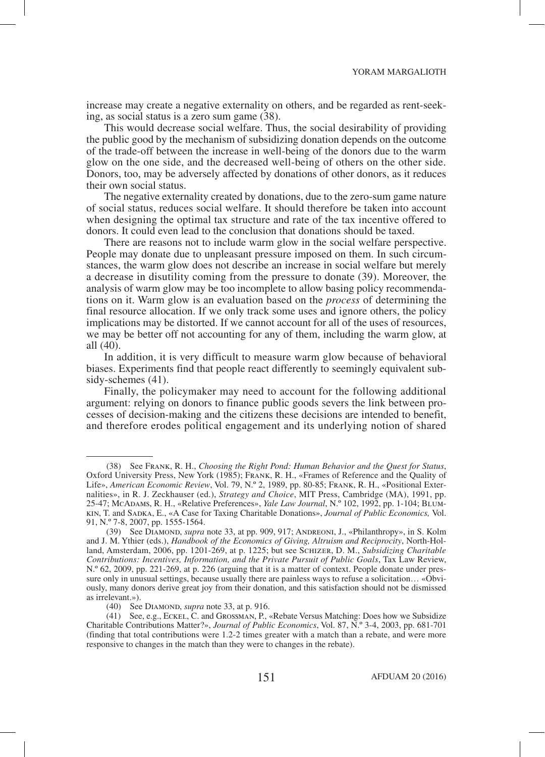increase may create a negative externality on others, and be regarded as rent-seeking, as social status is a zero sum game (38).

This would decrease social welfare. Thus, the social desirability of providing the public good by the mechanism of subsidizing donation depends on the outcome of the trade-off between the increase in well-being of the donors due to the warm glow on the one side, and the decreased well-being of others on the other side. Donors, too, may be adversely affected by donations of other donors, as it reduces their own social status.

The negative externality created by donations, due to the zero-sum game nature of social status, reduces social welfare. It should therefore be taken into account when designing the optimal tax structure and rate of the tax incentive offered to donors. It could even lead to the conclusion that donations should be taxed.

There are reasons not to include warm glow in the social welfare perspective. People may donate due to unpleasant pressure imposed on them. In such circumstances, the warm glow does not describe an increase in social welfare but merely a decrease in disutility coming from the pressure to donate (39). Moreover, the analysis of warm glow may be too incomplete to allow basing policy recommendations on it. Warm glow is an evaluation based on the *process* of determining the final resource allocation. If we only track some uses and ignore others, the policy implications may be distorted. If we cannot account for all of the uses of resources, we may be better off not accounting for any of them, including the warm glow, at all (40).

In addition, it is very difficult to measure warm glow because of behavioral biases. Experiments find that people react differently to seemingly equivalent subsidy-schemes (41).

Finally, the policymaker may need to account for the following additional argument: relying on donors to finance public goods severs the link between processes of decision-making and the citizens these decisions are intended to benefit, and therefore erodes political engagement and its underlying notion of shared

 <sup>(38)</sup> See Frank, R. H., *Choosing the Right Pond: Human Behavior and the Quest for Status*, Oxford University Press, New York (1985); Frank, R. H., «Frames of Reference and the Quality of Life», *American Economic Review*, Vol. 79, N.º 2, 1989, pp. 80-85; Frank, R. H., «Positional Externalities», in R. J. Zeckhauser (ed.), *Strategy and Choice*, MIT Press, Cambridge (MA), 1991, pp. 25-47; McAdams, R. H., «Relative Preferences», *Yale Law Journal*, N.º 102, 1992, pp. 1-104; Blumkin, T. and Sadka, E., «A Case for Taxing Charitable Donations», *Journal of Public Economics,* Vol. 91, N.º 7-8, 2007, pp. 1555-1564.

 <sup>(39)</sup> See Diamond, *supra* note 33, at pp. 909, 917; Andreoni, J., «Philanthropy», in S. Kolm and J. M. Ythier (eds.), *Handbook of the Economics of Giving, Altruism and Reciprocity*, North-Holland, Amsterdam, 2006, pp. 1201-269, at p. 1225; but see Schizer, D. M., *Subsidizing Charitable Contributions: Incentives, Information, and the Private Pursuit of Public Goals*, Tax Law Review, N.º 62, 2009, pp. 221-269, at p. 226 (arguing that it is a matter of context. People donate under pressure only in unusual settings, because usually there are painless ways to refuse a solicitation… «Obviously, many donors derive great joy from their donation, and this satisfaction should not be dismissed as irrelevant.»).

 <sup>(40)</sup> See Diamond, *supra* note 33, at p. 916.

 <sup>(41)</sup> See, e.g., Eckel, C. and Grossman, P., «Rebate Versus Matching: Does how we Subsidize Charitable Contributions Matter?», *Journal of Public Economics*, Vol. 87, N.º 3-4, 2003, pp. 681-701 (finding that total contributions were 1.2-2 times greater with a match than a rebate, and were more responsive to changes in the match than they were to changes in the rebate).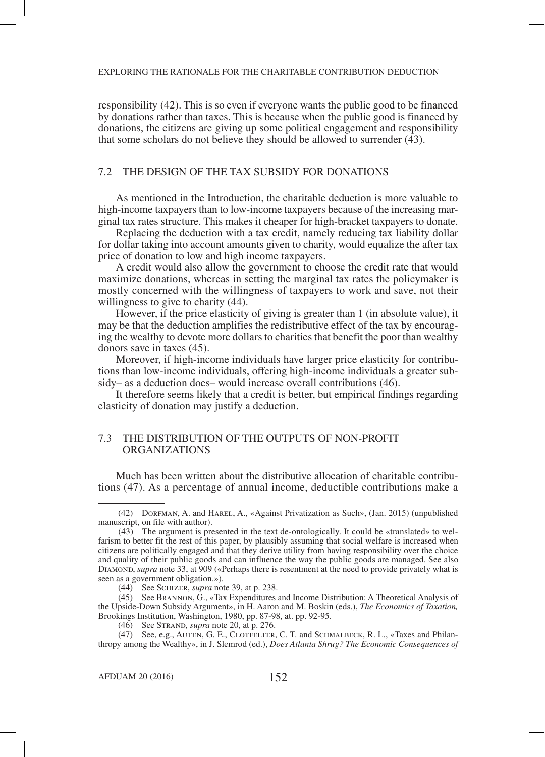responsibility (42). This is so even if everyone wants the public good to be financed by donations rather than taxes. This is because when the public good is financed by donations, the citizens are giving up some political engagement and responsibility that some scholars do not believe they should be allowed to surrender  $(43)$ .

#### 7.2 THE DESIGN OF THE TAX SUBSIDY FOR DONATIONS

As mentioned in the Introduction, the charitable deduction is more valuable to high-income taxpayers than to low-income taxpayers because of the increasing marginal tax rates structure. This makes it cheaper for high-bracket taxpayers to donate.

Replacing the deduction with a tax credit, namely reducing tax liability dollar for dollar taking into account amounts given to charity, would equalize the after tax price of donation to low and high income taxpayers.

A credit would also allow the government to choose the credit rate that would maximize donations, whereas in setting the marginal tax rates the policymaker is mostly concerned with the willingness of taxpayers to work and save, not their willingness to give to charity (44).

However, if the price elasticity of giving is greater than 1 (in absolute value), it may be that the deduction amplifies the redistributive effect of the tax by encouraging the wealthy to devote more dollars to charities that benefit the poor than wealthy donors save in taxes (45).

Moreover, if high-income individuals have larger price elasticity for contributions than low-income individuals, offering high-income individuals a greater subsidy– as a deduction does– would increase overall contributions (46).

It therefore seems likely that a credit is better, but empirical findings regarding elasticity of donation may justify a deduction.

## 7.3 THE DISTRIBUTION OF THE OUTPUTS OF NON-PROFIT ORGANIZATIONS

Much has been written about the distributive allocation of charitable contributions (47). As a percentage of annual income, deductible contributions make a

 <sup>(42)</sup> Dorfman, A. and Harel, A., «Against Privatization as Such», (Jan. 2015) (unpublished manuscript, on file with author).

 <sup>(43)</sup> The argument is presented in the text de-ontologically. It could be «translated» to welfarism to better fit the rest of this paper, by plausibly assuming that social welfare is increased when citizens are politically engaged and that they derive utility from having responsibility over the choice and quality of their public goods and can influence the way the public goods are managed. See also Diamond, *supra* note 33, at 909 («Perhaps there is resentment at the need to provide privately what is seen as a government obligation.»).

 <sup>(44)</sup> See Schizer, *supra* note 39, at p. 238.

 <sup>(45)</sup> See Brannon, G., «Tax Expenditures and Income Distribution: A Theoretical Analysis of the Upside-Down Subsidy Argument», in H. Aaron and M. Boskin (eds.), *The Economics of Taxation,* Brookings Institution, Washington, 1980, pp. 87-98, at. pp. 92-95.

 <sup>(46)</sup> See Strand, *supra* note 20, at p. 276.

 <sup>(47)</sup> See, e.g., Auten, G. E., Clotfelter, C. T. and Schmalbeck, R. L., «Taxes and Philanthropy among the Wealthy», in J. Slemrod (ed.), *Does Atlanta Shrug? The Economic Consequences of*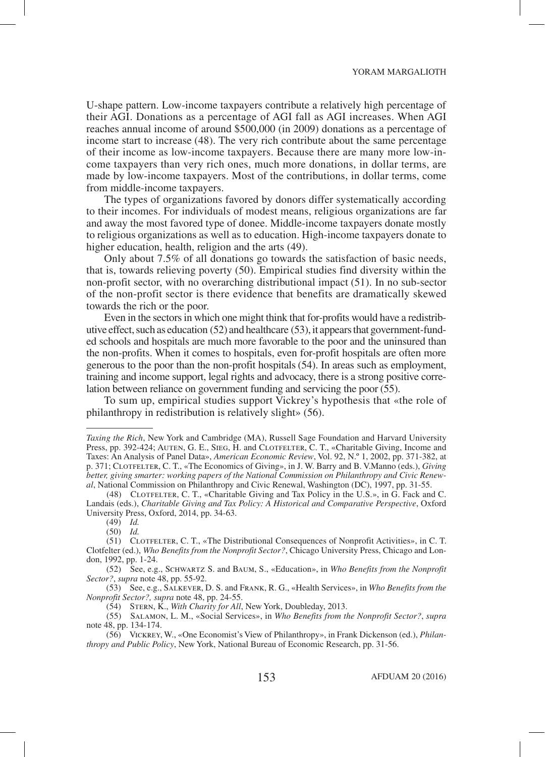U-shape pattern. Low-income taxpayers contribute a relatively high percentage of their AGI. Donations as a percentage of AGI fall as AGI increases. When AGI reaches annual income of around \$500,000 (in 2009) donations as a percentage of income start to increase (48). The very rich contribute about the same percentage of their income as low-income taxpayers. Because there are many more low-income taxpayers than very rich ones, much more donations, in dollar terms, are made by low-income taxpayers. Most of the contributions, in dollar terms, come from middle-income taxpayers.

The types of organizations favored by donors differ systematically according to their incomes. For individuals of modest means, religious organizations are far and away the most favored type of donee. Middle-income taxpayers donate mostly to religious organizations as well as to education. High-income taxpayers donate to higher education, health, religion and the arts (49).

Only about 7.5% of all donations go towards the satisfaction of basic needs, that is, towards relieving poverty (50). Empirical studies find diversity within the non-profit sector, with no overarching distributional impact (51). In no sub-sector of the non-profit sector is there evidence that benefits are dramatically skewed towards the rich or the poor.

Even in the sectors in which one might think that for-profits would have a redistributive effect, such as education  $(52)$  and healthcare  $(53)$ , it appears that government-funded schools and hospitals are much more favorable to the poor and the uninsured than the non-profits. When it comes to hospitals, even for-profit hospitals are often more generous to the poor than the non-profit hospitals (54). In areas such as employment, training and income support, legal rights and advocacy, there is a strong positive correlation between reliance on government funding and servicing the poor (55).

To sum up, empirical studies support Vickrey's hypothesis that «the role of philanthropy in redistribution is relatively slight» (56).

(49) *Id.*

 (52) See, e.g., Schwartz S. and Baum, S., «Education», in *Who Benefits from the Nonprofit Sector?*, *supra* note 48, pp. 55-92.

 (53) See, e.g., Salkever, D. S. and Frank, R. G., «Health Services», in *Who Benefits from the Nonprofit Sector?, supra* note 48, pp. 24-55.

(54) Stern, K., *With Charity for All*, New York, Doubleday, 2013.

 (55) Salamon, L. M., «Social Services», in *Who Benefits from the Nonprofit Sector?*, *supra* note 48, pp. 134-174.

 (56) Vickrey, W., «One Economist's View of Philanthropy», in Frank Dickenson (ed.), *Philanthropy and Public Policy*, New York, National Bureau of Economic Research, pp. 31-56.

*Taxing the Rich*, New York and Cambridge (MA), Russell Sage Foundation and Harvard University Press, pp. 392-424; AUTEN, G. E., SIEG, H. and CLOTFELTER, C. T., «Charitable Giving, Income and Taxes: An Analysis of Panel Data», *American Economic Review*, Vol. 92, N.º 1, 2002, pp. 371-382, at p. 371; Clotfelter, C. T., «The Economics of Giving», in J. W. Barry and B. V.Manno (eds.), *Giving better, giving smarter: working papers of the National Commission on Philanthropy and Civic Renewal*, National Commission on Philanthropy and Civic Renewal, Washington (DC), 1997, pp. 31-55.

 <sup>(48)</sup> Clotfelter, C. T., «Charitable Giving and Tax Policy in the U.S.», in G. Fack and C. Landais (eds.), *Charitable Giving and Tax Policy: A Historical and Comparative Perspective*, Oxford University Press, Oxford, 2014, pp. 34-63.

 <sup>(50)</sup> *Id.*

 <sup>(51)</sup> Clotfelter, C. T., «The Distributional Consequences of Nonprofit Activities», in C. T. Clotfelter (ed.), *Who Benefits from the Nonprofit Sector?*, Chicago University Press, Chicago and London, 1992, pp. 1-24.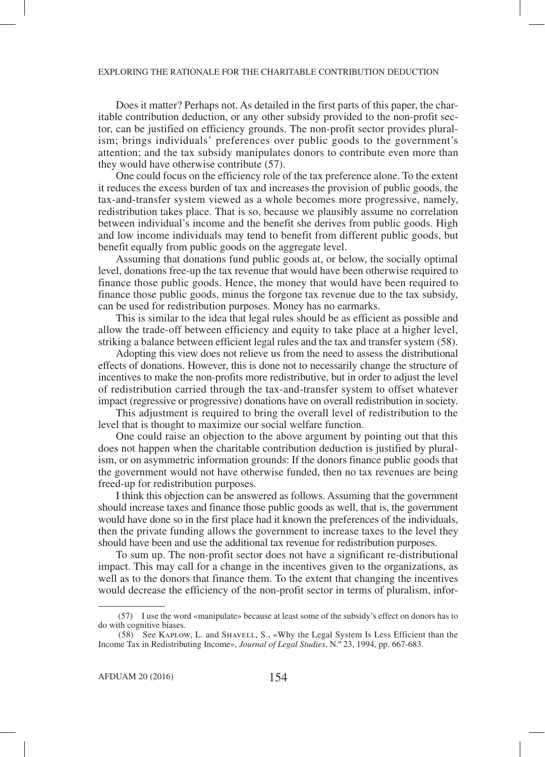Does it matter? Perhaps not. As detailed in the first parts of this paper, the charitable contribution deduction, or any other subsidy provided to the non-profit sector, can be justified on efficiency grounds. The non-profit sector provides pluralism; brings individuals' preferences over public goods to the government's attention; and the tax subsidy manipulates donors to contribute even more than they would have otherwise contribute (57).

One could focus on the efficiency role of the tax preference alone. To the extent it reduces the excess burden of tax and increases the provision of public goods, the tax-and-transfer system viewed as a whole becomes more progressive, namely, redistribution takes place. That is so, because we plausibly assume no correlation between individual's income and the benefit she derives from public goods. High and low income individuals may tend to benefit from different public goods, but benefit equally from public goods on the aggregate level.

Assuming that donations fund public goods at, or below, the socially optimal level, donations free-up the tax revenue that would have been otherwise required to finance those public goods. Hence, the money that would have been required to finance those public goods, minus the forgone tax revenue due to the tax subsidy, can be used for redistribution purposes. Money has no earmarks.

This is similar to the idea that legal rules should be as efficient as possible and allow the trade-off between efficiency and equity to take place at a higher level, striking a balance between efficient legal rules and the tax and transfer system (58).

Adopting this view does not relieve us from the need to assess the distributional effects of donations. However, this is done not to necessarily change the structure of incentives to make the non-profits more redistributive, but in order to adjust the level of redistribution carried through the tax-and-transfer system to offset whatever impact (regressive or progressive) donations have on overall redistribution in society.

This adjustment is required to bring the overall level of redistribution to the level that is thought to maximize our social welfare function.

One could raise an objection to the above argument by pointing out that this does not happen when the charitable contribution deduction is justified by pluralism, or on asymmetric information grounds: If the donors finance public goods that the government would not have otherwise funded, then no tax revenues are being freed-up for redistribution purposes.

I think this objection can be answered as follows. Assuming that the government should increase taxes and finance those public goods as well, that is, the government would have done so in the first place had it known the preferences of the individuals, then the private funding allows the government to increase taxes to the level they should have been and use the additional tax revenue for redistribution purposes.

To sum up. The non-profit sector does not have a significant re-distributional impact. This may call for a change in the incentives given to the organizations, as well as to the donors that finance them. To the extent that changing the incentives would decrease the efficiency of the non-profit sector in terms of pluralism, infor-

AFDUAM 20 (2016) 154

 <sup>(57)</sup> I use the word «manipulate» because at least some of the subsidy's effect on donors has to do with cognitive biases.

 <sup>(58)</sup> See Kaplow, L. and Shavell, S., «Why the Legal System Is Less Efficient than the Income Tax in Redistributing Income», *Journal of Legal Studies*, N.º 23, 1994, pp. 667-683.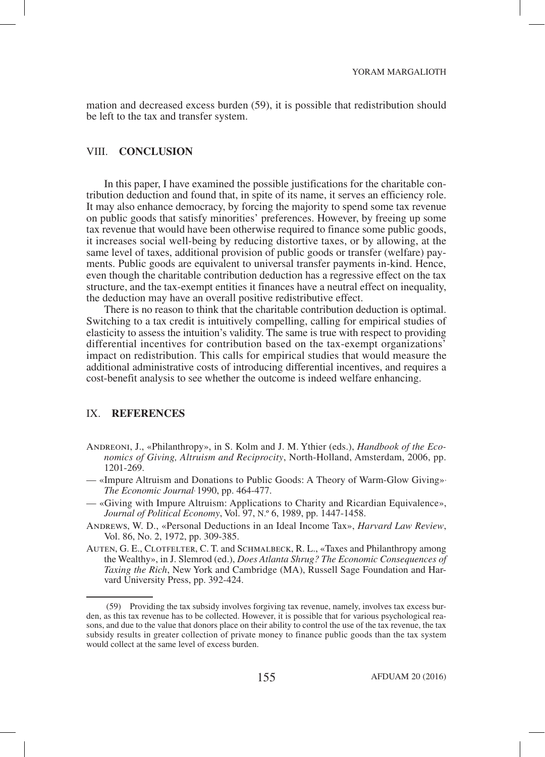mation and decreased excess burden (59), it is possible that redistribution should be left to the tax and transfer system.

## VIII. **CONCLUSION**

In this paper, I have examined the possible justifications for the charitable contribution deduction and found that, in spite of its name, it serves an efficiency role. It may also enhance democracy, by forcing the majority to spend some tax revenue on public goods that satisfy minorities' preferences. However, by freeing up some tax revenue that would have been otherwise required to finance some public goods, it increases social well-being by reducing distortive taxes, or by allowing, at the same level of taxes, additional provision of public goods or transfer (welfare) payments. Public goods are equivalent to universal transfer payments in-kind. Hence, even though the charitable contribution deduction has a regressive effect on the tax structure, and the tax-exempt entities it finances have a neutral effect on inequality, the deduction may have an overall positive redistributive effect.

There is no reason to think that the charitable contribution deduction is optimal. Switching to a tax credit is intuitively compelling, calling for empirical studies of elasticity to assess the intuition's validity. The same is true with respect to providing differential incentives for contribution based on the tax-exempt organizations' impact on redistribution. This calls for empirical studies that would measure the additional administrative costs of introducing differential incentives, and requires a cost-benefit analysis to see whether the outcome is indeed welfare enhancing.

# IX. **REFERENCES**

- Andreoni, J., «Philanthropy», in S. Kolm and J. M. Ythier (eds.), *Handbook of the Economics of Giving, Altruism and Reciprocity*, North-Holland, Amsterdam, 2006, pp. 1201-269.
- «Impure Altruism and Donations to Public Goods: A Theory of Warm-Glow Giving», *The Economic Journal*, 1990, pp. 464-477.

- Andrews, W. D., «Personal Deductions in an Ideal Income Tax», *Harvard Law Review*, Vol. 86, No. 2, 1972, pp. 309-385.
- AUTEN, G. E., CLOTFELTER, C. T. and SCHMALBECK, R. L., «Taxes and Philanthropy among the Wealthy», in J. Slemrod (ed.), *Does Atlanta Shrug? The Economic Consequences of Taxing the Rich*, New York and Cambridge (MA), Russell Sage Foundation and Harvard University Press, pp. 392-424.

<sup>— «</sup>Giving with Impure Altruism: Applications to Charity and Ricardian Equivalence», *Journal of Political Economy*, Vol. 97, N.º 6, 1989, pp. 1447-1458.

 <sup>(59)</sup> Providing the tax subsidy involves forgiving tax revenue, namely, involves tax excess burden, as this tax revenue has to be collected. However, it is possible that for various psychological reasons, and due to the value that donors place on their ability to control the use of the tax revenue, the tax subsidy results in greater collection of private money to finance public goods than the tax system would collect at the same level of excess burden.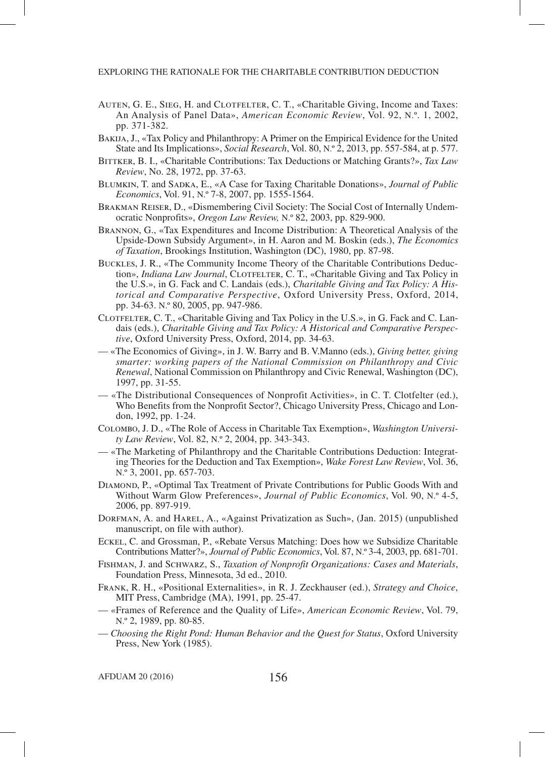- Auten, G. E., Sieg, H. and Clotfelter, C. T., «Charitable Giving, Income and Taxes: An Analysis of Panel Data», *American Economic Review*, Vol. 92, N.º. 1, 2002, pp. 371-382.
- Bakija, J., «Tax Policy and Philanthropy: A Primer on the Empirical Evidence for the United State and Its Implications», *Social Research*, Vol. 80, N.º 2, 2013, pp. 557-584, at p. 577.
- Bittker, B. I., «Charitable Contributions: Tax Deductions or Matching Grants?», *Tax Law Review*, No. 28, 1972, pp. 37-63.
- Blumkin, T. and Sadka, E., «A Case for Taxing Charitable Donations», *Journal of Public Economics*, Vol. 91, N.º 7-8, 2007, pp. 1555-1564.
- Brakman Reiser, D., «Dismembering Civil Society: The Social Cost of Internally Undemocratic Nonprofits», *Oregon Law Review,* N.º 82, 2003, pp. 829-900.
- Brannon, G., «Tax Expenditures and Income Distribution: A Theoretical Analysis of the Upside-Down Subsidy Argument», in H. Aaron and M. Boskin (eds.), *The Economics of Taxation*, Brookings Institution, Washington (DC), 1980, pp. 87-98.
- Buckles, J. R., «The Community Income Theory of the Charitable Contributions Deduction», *Indiana Law Journal*, CLOTFELTER, C. T., «Charitable Giving and Tax Policy in the U.S.», in G. Fack and C. Landais (eds.), *Charitable Giving and Tax Policy: A Historical and Comparative Perspective*, Oxford University Press, Oxford, 2014, pp. 34-63. N.º 80, 2005, pp. 947-986.
- Clotfelter, C. T., «Charitable Giving and Tax Policy in the U.S.», in G. Fack and C. Landais (eds.), *Charitable Giving and Tax Policy: A Historical and Comparative Perspective*, Oxford University Press, Oxford, 2014, pp. 34-63.
- «The Economics of Giving», in J. W. Barry and B. V.Manno (eds.), *Giving better, giving smarter: working papers of the National Commission on Philanthropy and Civic Renewal*, National Commission on Philanthropy and Civic Renewal, Washington (DC), 1997, pp. 31-55.
- «The Distributional Consequences of Nonprofit Activities», in C. T. Clotfelter (ed.), Who Benefits from the Nonprofit Sector?, Chicago University Press, Chicago and London, 1992, pp. 1-24.
- Colombo, J. D., «The Role of Access in Charitable Tax Exemption», *Washington University Law Review*, Vol. 82, N.º 2, 2004, pp. 343-343.
- «The Marketing of Philanthropy and the Charitable Contributions Deduction: Integrating Theories for the Deduction and Tax Exemption», *Wake Forest Law Review*, Vol. 36, N.º 3, 2001, pp. 657-703.
- DIAMOND, P., «Optimal Tax Treatment of Private Contributions for Public Goods With and Without Warm Glow Preferences», *Journal of Public Economics*, Vol. 90, N.º 4-5, 2006, pp. 897-919.
- Dorfman, A. and Harel, A., «Against Privatization as Such», (Jan. 2015) (unpublished manuscript, on file with author).
- Eckel, C. and Grossman, P., «Rebate Versus Matching: Does how we Subsidize Charitable Contributions Matter?», *Journal of Public Economics*, Vol. 87, N.º 3-4, 2003, pp. 681-701.
- Fishman, J. and Schwarz, S., *Taxation of Nonprofit Organizations: Cases and Materials*, Foundation Press, Minnesota, 3d ed., 2010.
- Frank, R. H., «Positional Externalities», in R. J. Zeckhauser (ed.), *Strategy and Choice*, MIT Press, Cambridge (MA), 1991, pp. 25-47.
- «Frames of Reference and the Quality of Life», *American Economic Review*, Vol. 79, N.º 2, 1989, pp. 80-85.
- *Choosing the Right Pond: Human Behavior and the Quest for Status*, Oxford University Press, New York (1985).

AFDUAM 20 (2016) 156